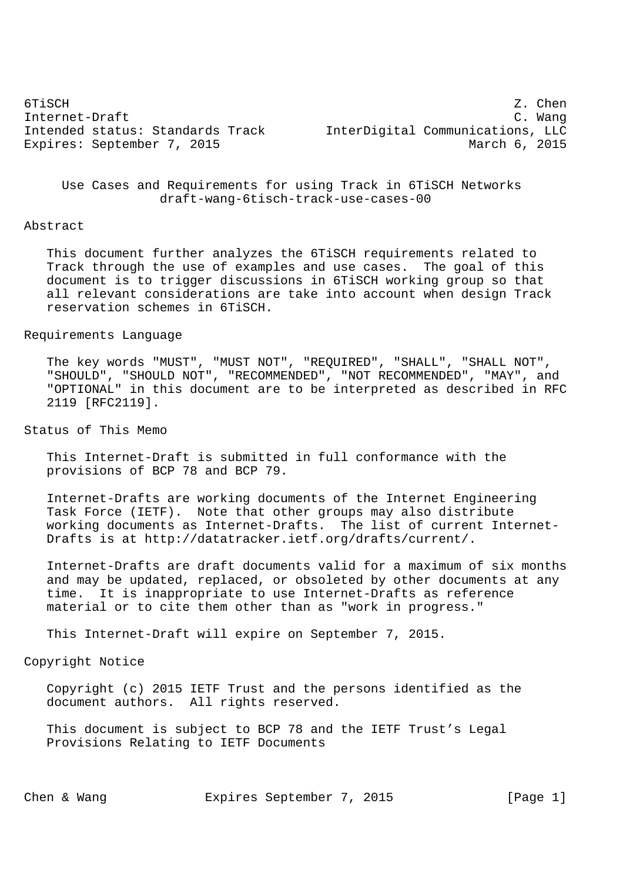| 6TiSCH                           | Z. Chen                          |  |
|----------------------------------|----------------------------------|--|
| Internet-Draft                   | C. Wanq                          |  |
| Intended status: Standards Track | InterDigital Communications, LLC |  |
| Expires: September 7, 2015       | March 6, 2015                    |  |
|                                  |                                  |  |

 Use Cases and Requirements for using Track in 6TiSCH Networks draft-wang-6tisch-track-use-cases-00

#### Abstract

 This document further analyzes the 6TiSCH requirements related to Track through the use of examples and use cases. The goal of this document is to trigger discussions in 6TiSCH working group so that all relevant considerations are take into account when design Track reservation schemes in 6TiSCH.

## Requirements Language

 The key words "MUST", "MUST NOT", "REQUIRED", "SHALL", "SHALL NOT", "SHOULD", "SHOULD NOT", "RECOMMENDED", "NOT RECOMMENDED", "MAY", and "OPTIONAL" in this document are to be interpreted as described in RFC 2119 [RFC2119].

### Status of This Memo

 This Internet-Draft is submitted in full conformance with the provisions of BCP 78 and BCP 79.

 Internet-Drafts are working documents of the Internet Engineering Task Force (IETF). Note that other groups may also distribute working documents as Internet-Drafts. The list of current Internet- Drafts is at http://datatracker.ietf.org/drafts/current/.

 Internet-Drafts are draft documents valid for a maximum of six months and may be updated, replaced, or obsoleted by other documents at any time. It is inappropriate to use Internet-Drafts as reference material or to cite them other than as "work in progress."

This Internet-Draft will expire on September 7, 2015.

## Copyright Notice

 Copyright (c) 2015 IETF Trust and the persons identified as the document authors. All rights reserved.

 This document is subject to BCP 78 and the IETF Trust's Legal Provisions Relating to IETF Documents

Chen & Wang **Expires September 7, 2015** [Page 1]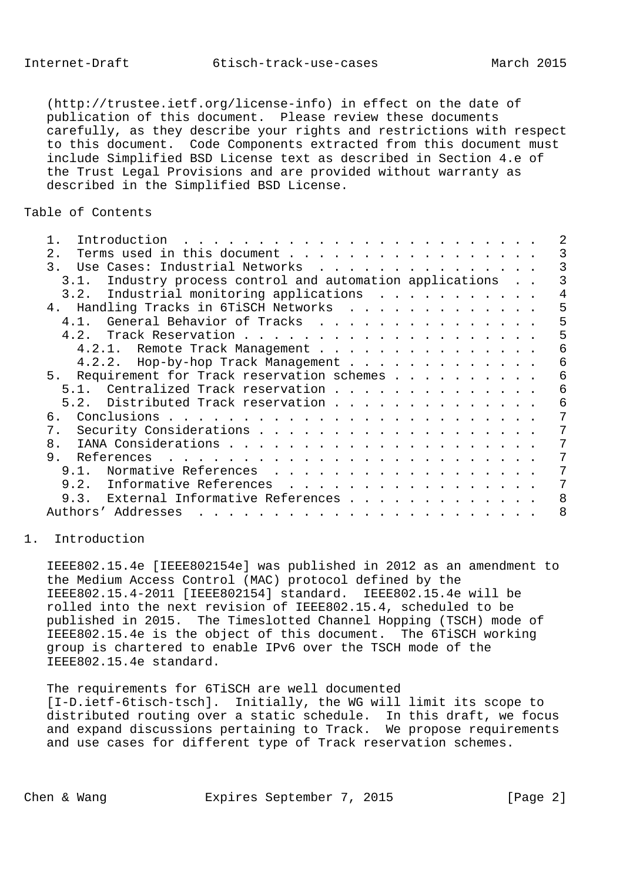(http://trustee.ietf.org/license-info) in effect on the date of publication of this document. Please review these documents carefully, as they describe your rights and restrictions with respect to this document. Code Components extracted from this document must include Simplified BSD License text as described in Section 4.e of the Trust Legal Provisions and are provided without warranty as described in the Simplified BSD License.

## Table of Contents

| Introduction                                                 |   |
|--------------------------------------------------------------|---|
| Terms used in this document<br>2.1                           |   |
| Use Cases: Industrial Networks<br>$\mathbf{3}$ .             |   |
| Industry process control and automation applications<br>3.1. |   |
| Industrial monitoring applications<br>3.2.                   |   |
| 4. Handling Tracks in 6TiSCH Networks                        | 5 |
| General Behavior of Tracks<br>4.1.                           | 5 |
|                                                              | 5 |
| 4.2.1. Remote Track Management                               | 6 |
| 4.2.2. Hop-by-hop Track Management                           | 6 |
| 5. Requirement for Track reservation schemes                 | 6 |
| 5.1. Centralized Track reservation                           | 6 |
| 5.2. Distributed Track reservation                           | 6 |
| 6.                                                           |   |
| 7.                                                           |   |
| 8.                                                           |   |
| 9.                                                           |   |
| 9.1. Normative References                                    |   |
| 9.2. Informative References                                  |   |
| 9.3. External Informative References                         | 8 |
| Authors' Addresses<br>$\frac{1}{2}$                          | 8 |
|                                                              |   |

### 1. Introduction

 IEEE802.15.4e [IEEE802154e] was published in 2012 as an amendment to the Medium Access Control (MAC) protocol defined by the IEEE802.15.4-2011 [IEEE802154] standard. IEEE802.15.4e will be rolled into the next revision of IEEE802.15.4, scheduled to be published in 2015. The Timeslotted Channel Hopping (TSCH) mode of IEEE802.15.4e is the object of this document. The 6TiSCH working group is chartered to enable IPv6 over the TSCH mode of the IEEE802.15.4e standard.

 The requirements for 6TiSCH are well documented [I-D.ietf-6tisch-tsch]. Initially, the WG will limit its scope to distributed routing over a static schedule. In this draft, we focus and expand discussions pertaining to Track. We propose requirements and use cases for different type of Track reservation schemes.

Chen & Wang **Expires September 7, 2015** [Page 2]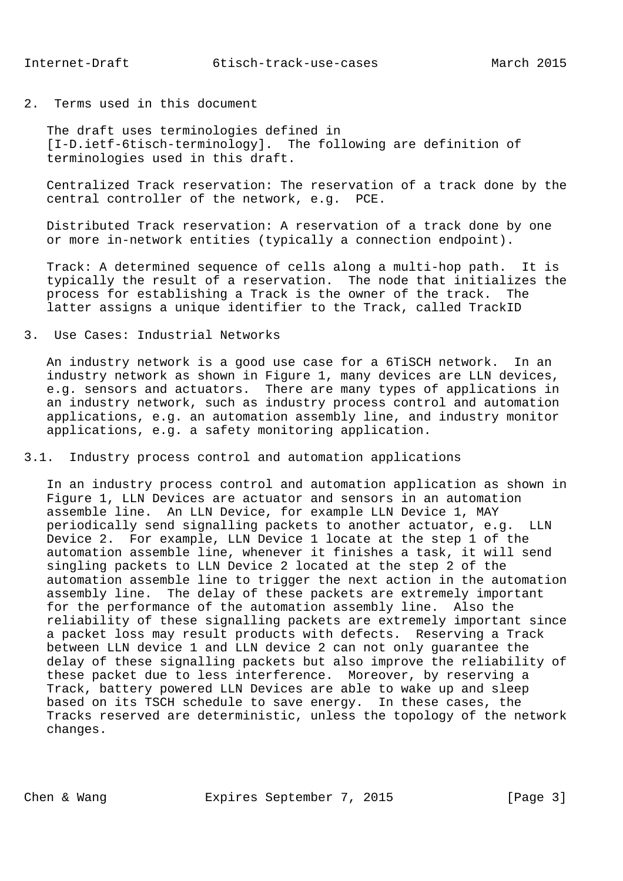2. Terms used in this document

 The draft uses terminologies defined in [I-D.ietf-6tisch-terminology]. The following are definition of terminologies used in this draft.

 Centralized Track reservation: The reservation of a track done by the central controller of the network, e.g. PCE.

 Distributed Track reservation: A reservation of a track done by one or more in-network entities (typically a connection endpoint).

 Track: A determined sequence of cells along a multi-hop path. It is typically the result of a reservation. The node that initializes the process for establishing a Track is the owner of the track. The latter assigns a unique identifier to the Track, called TrackID

3. Use Cases: Industrial Networks

 An industry network is a good use case for a 6TiSCH network. In an industry network as shown in Figure 1, many devices are LLN devices, e.g. sensors and actuators. There are many types of applications in an industry network, such as industry process control and automation applications, e.g. an automation assembly line, and industry monitor applications, e.g. a safety monitoring application.

3.1. Industry process control and automation applications

 In an industry process control and automation application as shown in Figure 1, LLN Devices are actuator and sensors in an automation assemble line. An LLN Device, for example LLN Device 1, MAY periodically send signalling packets to another actuator, e.g. LLN Device 2. For example, LLN Device 1 locate at the step 1 of the automation assemble line, whenever it finishes a task, it will send singling packets to LLN Device 2 located at the step 2 of the automation assemble line to trigger the next action in the automation assembly line. The delay of these packets are extremely important for the performance of the automation assembly line. Also the reliability of these signalling packets are extremely important since a packet loss may result products with defects. Reserving a Track between LLN device 1 and LLN device 2 can not only guarantee the delay of these signalling packets but also improve the reliability of these packet due to less interference. Moreover, by reserving a Track, battery powered LLN Devices are able to wake up and sleep based on its TSCH schedule to save energy. In these cases, the Tracks reserved are deterministic, unless the topology of the network changes.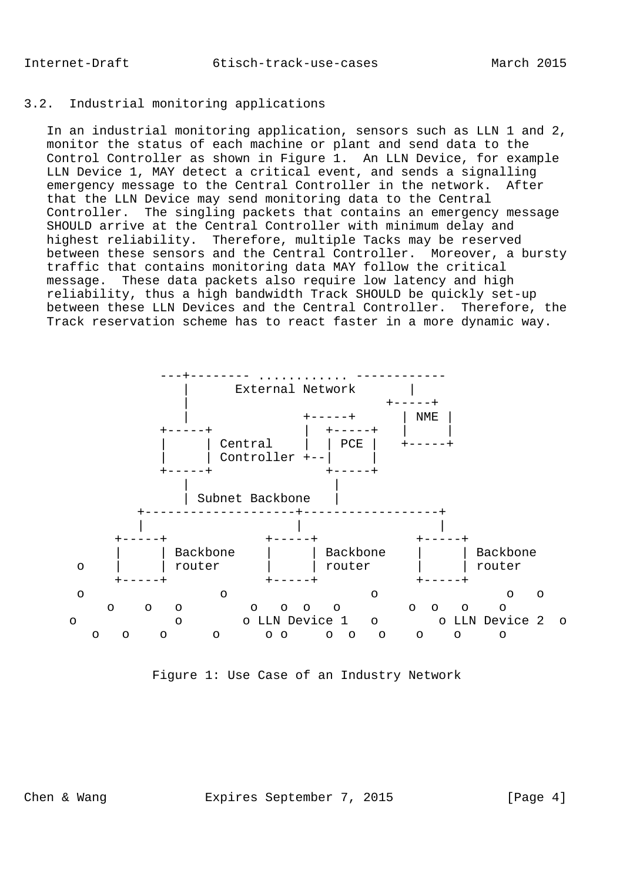# 3.2. Industrial monitoring applications

 In an industrial monitoring application, sensors such as LLN 1 and 2, monitor the status of each machine or plant and send data to the Control Controller as shown in Figure 1. An LLN Device, for example LLN Device 1, MAY detect a critical event, and sends a signalling emergency message to the Central Controller in the network. After that the LLN Device may send monitoring data to the Central Controller. The singling packets that contains an emergency message SHOULD arrive at the Central Controller with minimum delay and highest reliability. Therefore, multiple Tacks may be reserved between these sensors and the Central Controller. Moreover, a bursty traffic that contains monitoring data MAY follow the critical message. These data packets also require low latency and high reliability, thus a high bandwidth Track SHOULD be quickly set-up between these LLN Devices and the Central Controller. Therefore, the Track reservation scheme has to react faster in a more dynamic way.



Figure 1: Use Case of an Industry Network

Chen & Wang **Expires September 7, 2015** [Page 4]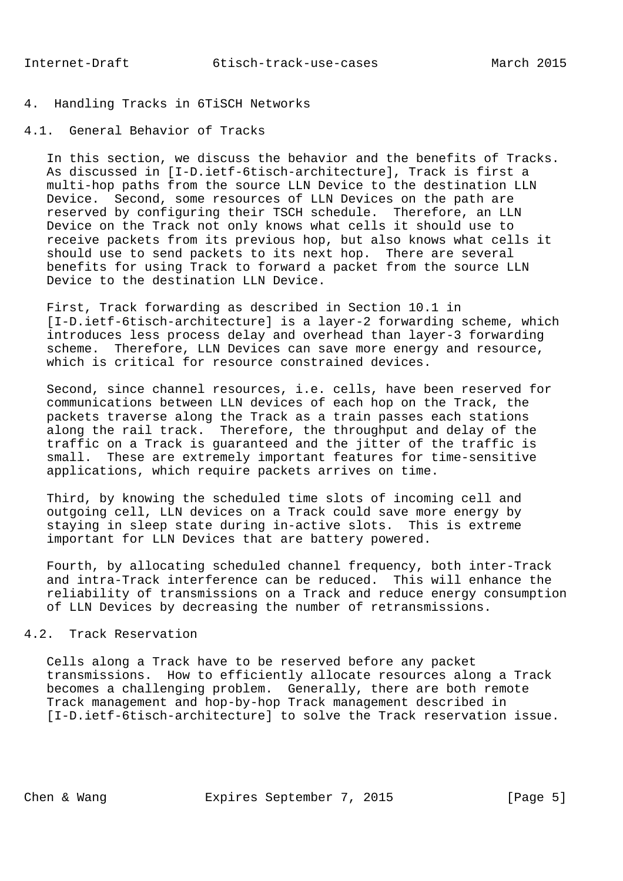# 4. Handling Tracks in 6TiSCH Networks

4.1. General Behavior of Tracks

 In this section, we discuss the behavior and the benefits of Tracks. As discussed in [I-D.ietf-6tisch-architecture], Track is first a multi-hop paths from the source LLN Device to the destination LLN Device. Second, some resources of LLN Devices on the path are reserved by configuring their TSCH schedule. Therefore, an LLN Device on the Track not only knows what cells it should use to receive packets from its previous hop, but also knows what cells it should use to send packets to its next hop. There are several benefits for using Track to forward a packet from the source LLN Device to the destination LLN Device.

 First, Track forwarding as described in Section 10.1 in [I-D.ietf-6tisch-architecture] is a layer-2 forwarding scheme, which introduces less process delay and overhead than layer-3 forwarding scheme. Therefore, LLN Devices can save more energy and resource, which is critical for resource constrained devices.

 Second, since channel resources, i.e. cells, have been reserved for communications between LLN devices of each hop on the Track, the packets traverse along the Track as a train passes each stations along the rail track. Therefore, the throughput and delay of the traffic on a Track is guaranteed and the jitter of the traffic is small. These are extremely important features for time-sensitive applications, which require packets arrives on time.

 Third, by knowing the scheduled time slots of incoming cell and outgoing cell, LLN devices on a Track could save more energy by staying in sleep state during in-active slots. This is extreme important for LLN Devices that are battery powered.

 Fourth, by allocating scheduled channel frequency, both inter-Track and intra-Track interference can be reduced. This will enhance the reliability of transmissions on a Track and reduce energy consumption of LLN Devices by decreasing the number of retransmissions.

## 4.2. Track Reservation

 Cells along a Track have to be reserved before any packet transmissions. How to efficiently allocate resources along a Track becomes a challenging problem. Generally, there are both remote Track management and hop-by-hop Track management described in [I-D.ietf-6tisch-architecture] to solve the Track reservation issue.

Chen & Wang **Expires September 7, 2015** [Page 5]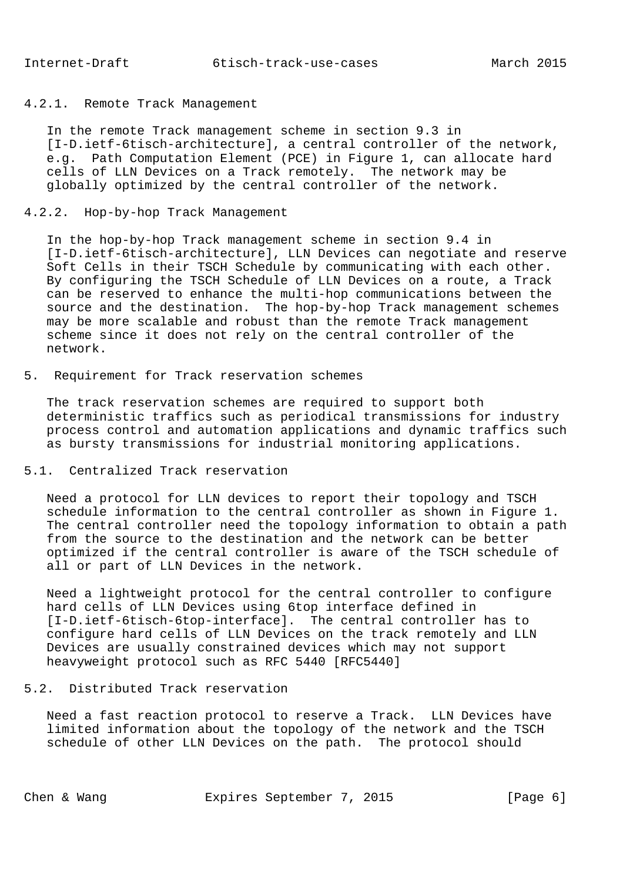### 4.2.1. Remote Track Management

 In the remote Track management scheme in section 9.3 in [I-D.ietf-6tisch-architecture], a central controller of the network, e.g. Path Computation Element (PCE) in Figure 1, can allocate hard cells of LLN Devices on a Track remotely. The network may be globally optimized by the central controller of the network.

### 4.2.2. Hop-by-hop Track Management

 In the hop-by-hop Track management scheme in section 9.4 in [I-D.ietf-6tisch-architecture], LLN Devices can negotiate and reserve Soft Cells in their TSCH Schedule by communicating with each other. By configuring the TSCH Schedule of LLN Devices on a route, a Track can be reserved to enhance the multi-hop communications between the source and the destination. The hop-by-hop Track management schemes may be more scalable and robust than the remote Track management scheme since it does not rely on the central controller of the network.

#### 5. Requirement for Track reservation schemes

 The track reservation schemes are required to support both deterministic traffics such as periodical transmissions for industry process control and automation applications and dynamic traffics such as bursty transmissions for industrial monitoring applications.

#### 5.1. Centralized Track reservation

 Need a protocol for LLN devices to report their topology and TSCH schedule information to the central controller as shown in Figure 1. The central controller need the topology information to obtain a path from the source to the destination and the network can be better optimized if the central controller is aware of the TSCH schedule of all or part of LLN Devices in the network.

 Need a lightweight protocol for the central controller to configure hard cells of LLN Devices using 6top interface defined in [I-D.ietf-6tisch-6top-interface]. The central controller has to configure hard cells of LLN Devices on the track remotely and LLN Devices are usually constrained devices which may not support heavyweight protocol such as RFC 5440 [RFC5440]

### 5.2. Distributed Track reservation

 Need a fast reaction protocol to reserve a Track. LLN Devices have limited information about the topology of the network and the TSCH schedule of other LLN Devices on the path. The protocol should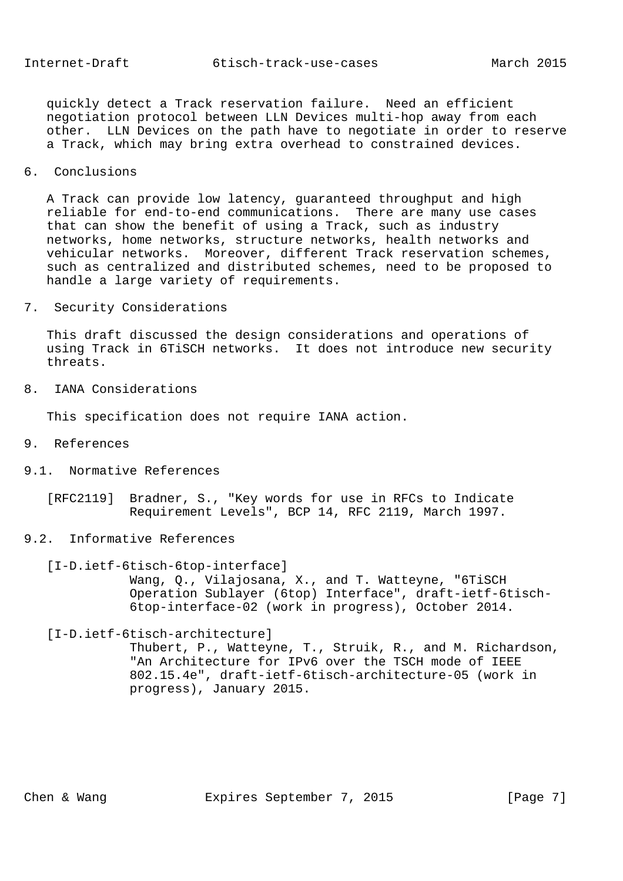quickly detect a Track reservation failure. Need an efficient negotiation protocol between LLN Devices multi-hop away from each other. LLN Devices on the path have to negotiate in order to reserve a Track, which may bring extra overhead to constrained devices.

6. Conclusions

 A Track can provide low latency, guaranteed throughput and high reliable for end-to-end communications. There are many use cases that can show the benefit of using a Track, such as industry networks, home networks, structure networks, health networks and vehicular networks. Moreover, different Track reservation schemes, such as centralized and distributed schemes, need to be proposed to handle a large variety of requirements.

7. Security Considerations

 This draft discussed the design considerations and operations of using Track in 6TiSCH networks. It does not introduce new security threats.

8. IANA Considerations

This specification does not require IANA action.

- 9. References
- 9.1. Normative References

 [RFC2119] Bradner, S., "Key words for use in RFCs to Indicate Requirement Levels", BCP 14, RFC 2119, March 1997.

9.2. Informative References

 [I-D.ietf-6tisch-6top-interface] Wang, Q., Vilajosana, X., and T. Watteyne, "6TiSCH Operation Sublayer (6top) Interface", draft-ietf-6tisch- 6top-interface-02 (work in progress), October 2014.

[I-D.ietf-6tisch-architecture]

 Thubert, P., Watteyne, T., Struik, R., and M. Richardson, "An Architecture for IPv6 over the TSCH mode of IEEE 802.15.4e", draft-ietf-6tisch-architecture-05 (work in progress), January 2015.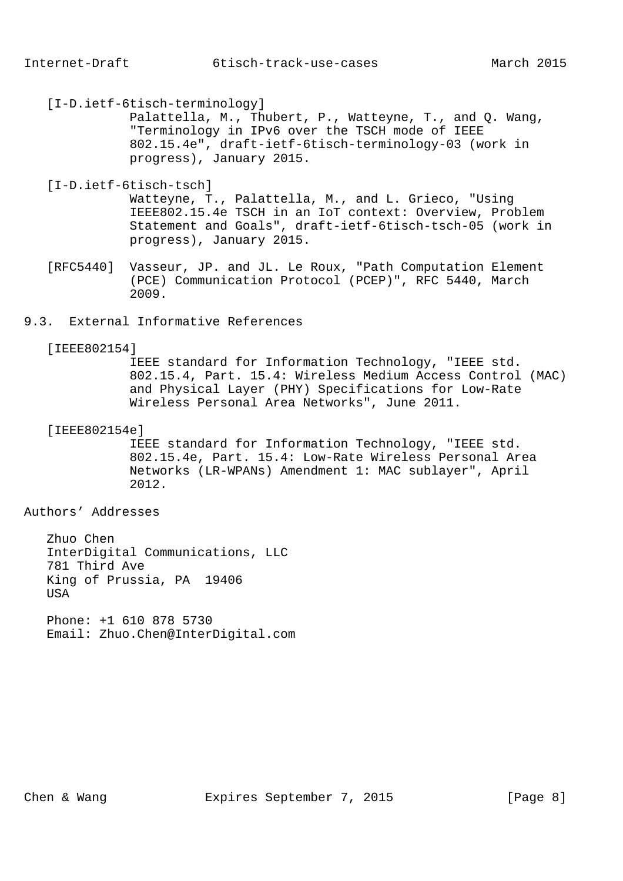[I-D.ietf-6tisch-terminology]

 Palattella, M., Thubert, P., Watteyne, T., and Q. Wang, "Terminology in IPv6 over the TSCH mode of IEEE 802.15.4e", draft-ietf-6tisch-terminology-03 (work in progress), January 2015.

[I-D.ietf-6tisch-tsch]

 Watteyne, T., Palattella, M., and L. Grieco, "Using IEEE802.15.4e TSCH in an IoT context: Overview, Problem Statement and Goals", draft-ietf-6tisch-tsch-05 (work in progress), January 2015.

- [RFC5440] Vasseur, JP. and JL. Le Roux, "Path Computation Element (PCE) Communication Protocol (PCEP)", RFC 5440, March 2009.
- 9.3. External Informative References

### [IEEE802154]

 IEEE standard for Information Technology, "IEEE std. 802.15.4, Part. 15.4: Wireless Medium Access Control (MAC) and Physical Layer (PHY) Specifications for Low-Rate Wireless Personal Area Networks", June 2011.

#### [IEEE802154e]

 IEEE standard for Information Technology, "IEEE std. 802.15.4e, Part. 15.4: Low-Rate Wireless Personal Area Networks (LR-WPANs) Amendment 1: MAC sublayer", April 2012.

## Authors' Addresses

 Zhuo Chen InterDigital Communications, LLC 781 Third Ave King of Prussia, PA 19406 **USA** 

 Phone: +1 610 878 5730 Email: Zhuo.Chen@InterDigital.com